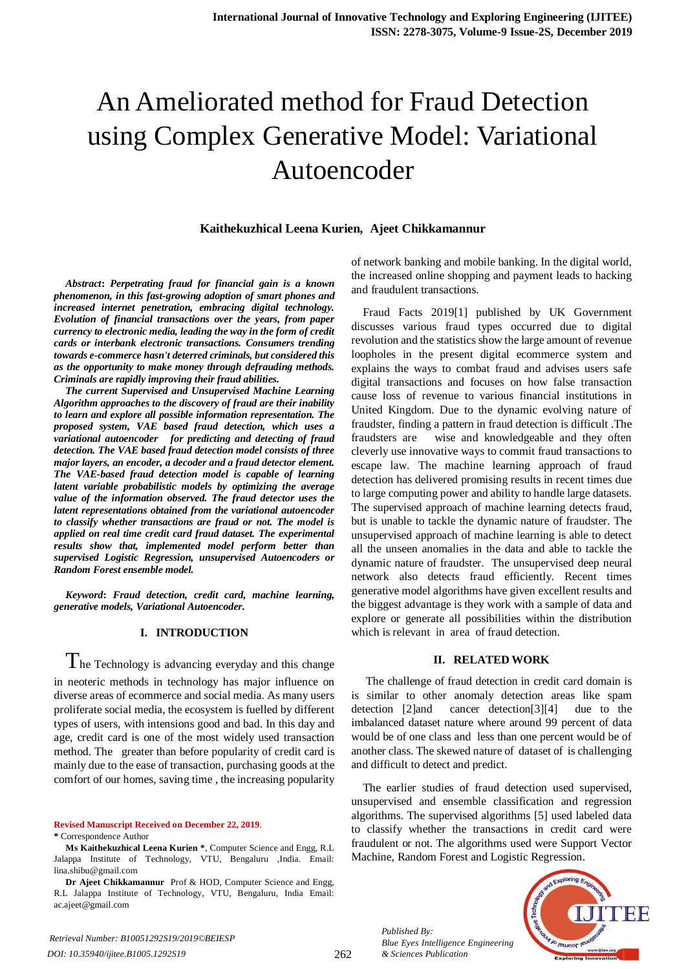# An Ameliorated method for Fraud Detection using Complex Generative Model: Variational Autoencoder

# **Kaithekuzhical Leena Kurien, Ajeet Chikkamannur**

*Abstract***:** *Perpetrating fraud for financial gain is a known phenomenon, in this fast-growing adoption of smart phones and increased internet penetration, embracing digital technology. Evolution of financial transactions over the years, from paper currency to electronic media, leading the way in the form of credit cards or interbank electronic transactions. Consumers trending towards e-commerce hasn't deterred criminals, but considered this as the opportunity to make money through defrauding methods. Criminals are rapidly improving their fraud abilities.* 

*The current Supervised and Unsupervised Machine Learning Algorithm approaches to the discovery of fraud are their inability to learn and explore all possible information representation. The proposed system, VAE based fraud detection, which uses a variational autoencoder for predicting and detecting of fraud detection. The VAE based fraud detection model consists of three major layers, an encoder, a decoder and a fraud detector element. The VAE-based fraud detection model is capable of learning latent variable probabilistic models by optimizing the average value of the information observed. The fraud detector uses the latent representations obtained from the variational autoencoder to classify whether transactions are fraud or not. The model is applied on real time credit card fraud dataset. The experimental results show that, implemented model perform better than supervised Logistic Regression, unsupervised Autoencoders or Random Forest ensemble model.* 

*Keyword***:** *Fraud detection, credit card, machine learning, generative models, Variational Autoencoder.* 

## **I. INTRODUCTION**

 $T$ he Technology is advancing everyday and this change in neoteric methods in technology has major influence on diverse areas of ecommerce and social media. As many users proliferate social media, the ecosystem is fuelled by different types of users, with intensions good and bad. In this day and age, credit card is one of the most widely used transaction method. The greater than before popularity of credit card is mainly due to the ease of transaction, purchasing goods at the comfort of our homes, saving time , the increasing popularity

**Revised Manuscript Received on December 22, 2019**.

**\*** Correspondence Author

**Ms Kaithekuzhical Leena Kurien \***, Computer Science and Engg, R.L Jalappa Institute of Technology, VTU, Bengaluru ,India. Email: lina.shibu@gmail.com

**Dr Ajeet Chikkamannur** Prof & HOD, Computer Science and Engg, R.L Jalappa Institute of Technology, VTU, Bengaluru, India Email: ac.ajeet@gmail.com

of network banking and mobile banking. In the digital world, the increased online shopping and payment leads to hacking and fraudulent transactions.

Fraud Facts 2019[1] published by UK Government discusses various fraud types occurred due to digital revolution and the statistics show the large amount of revenue loopholes in the present digital ecommerce system and explains the ways to combat fraud and advises users safe digital transactions and focuses on how false transaction cause loss of revenue to various financial institutions in United Kingdom. Due to the dynamic evolving nature of fraudster, finding a pattern in fraud detection is difficult .The fraudsters are wise and knowledgeable and they often cleverly use innovative ways to commit fraud transactions to escape law. The machine learning approach of fraud detection has delivered promising results in recent times due to large computing power and ability to handle large datasets. The supervised approach of machine learning detects fraud, but is unable to tackle the dynamic nature of fraudster. The unsupervised approach of machine learning is able to detect all the unseen anomalies in the data and able to tackle the dynamic nature of fraudster. The unsupervised deep neural network also detects fraud efficiently. Recent times generative model algorithms have given excellent results and the biggest advantage is they work with a sample of data and explore or generate all possibilities within the distribution which is relevant in area of fraud detection.

## **II. RELATED WORK**

The challenge of fraud detection in credit card domain is is similar to other anomaly detection areas like spam detection [2]and cancer detection[3][4] due to the imbalanced dataset nature where around 99 percent of data would be of one class and less than one percent would be of another class. The skewed nature of dataset of is challenging and difficult to detect and predict.

The earlier studies of fraud detection used supervised, unsupervised and ensemble classification and regression algorithms. The supervised algorithms [5] used labeled data to classify whether the transactions in credit card were fraudulent or not. The algorithms used were Support Vector Machine, Random Forest and Logistic Regression.



*Published By: Blue Eyes Intelligence Engineering & Sciences Publication*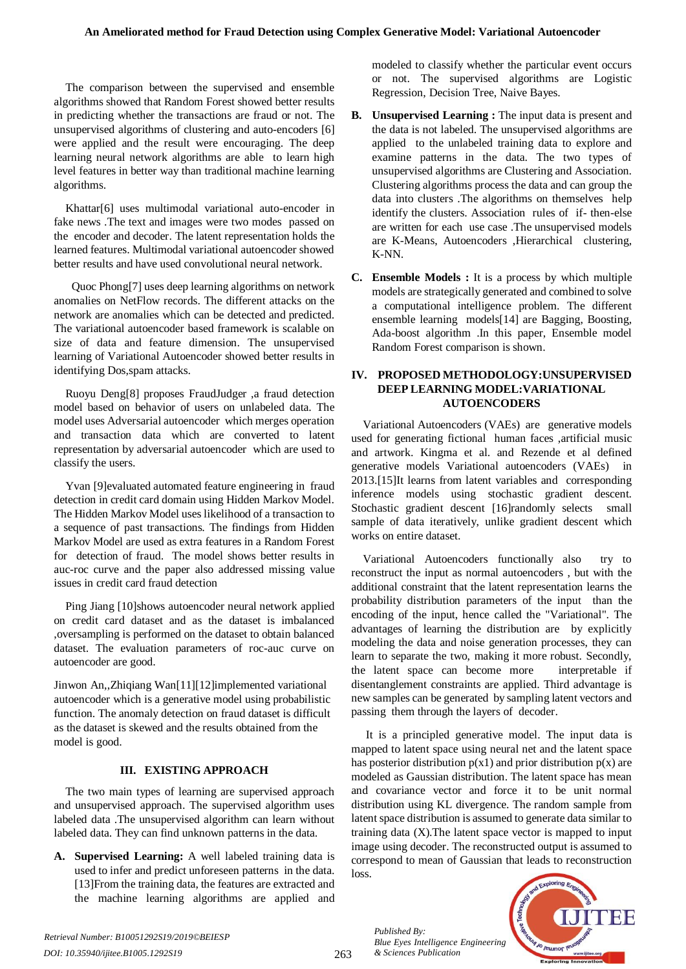The comparison between the supervised and ensemble algorithms showed that Random Forest showed better results in predicting whether the transactions are fraud or not. The unsupervised algorithms of clustering and auto-encoders [6] were applied and the result were encouraging. The deep learning neural network algorithms are able to learn high level features in better way than traditional machine learning algorithms.

Khattar[6] uses multimodal variational auto-encoder in fake news .The text and images were two modes passed on the encoder and decoder. The latent representation holds the learned features. Multimodal variational autoencoder showed better results and have used convolutional neural network.

 Quoc Phong[7] uses deep learning algorithms on network anomalies on NetFlow records. The different attacks on the network are anomalies which can be detected and predicted. The variational autoencoder based framework is scalable on size of data and feature dimension. The unsupervised learning of Variational Autoencoder showed better results in identifying Dos,spam attacks.

Ruoyu Deng[8] proposes FraudJudger ,a fraud detection model based on behavior of users on unlabeled data. The model uses Adversarial autoencoder which merges operation and transaction data which are converted to latent representation by adversarial autoencoder which are used to classify the users.

Yvan [9]evaluated automated feature engineering in fraud detection in credit card domain using Hidden Markov Model. The Hidden Markov Model uses likelihood of a transaction to a sequence of past transactions. The findings from Hidden Markov Model are used as extra features in a Random Forest for detection of fraud. The model shows better results in auc-roc curve and the paper also addressed missing value issues in credit card fraud detection

Ping Jiang [10]shows autoencoder neural network applied on credit card dataset and as the dataset is imbalanced ,oversampling is performed on the dataset to obtain balanced dataset. The evaluation parameters of roc-auc curve on autoencoder are good.

Jinwon An,,Zhiqiang Wan[11][12]implemented variational autoencoder which is a generative model using probabilistic function. The anomaly detection on fraud dataset is difficult as the dataset is skewed and the results obtained from the model is good.

## **III. EXISTING APPROACH**

The two main types of learning are supervised approach and unsupervised approach. The supervised algorithm uses labeled data .The unsupervised algorithm can learn without labeled data. They can find unknown patterns in the data.

**A. Supervised Learning:** A well labeled training data is used to infer and predict unforeseen patterns in the data. [13]From the training data, the features are extracted and the machine learning algorithms are applied and

modeled to classify whether the particular event occurs or not. The supervised algorithms are Logistic Regression, Decision Tree, Naive Bayes.

- **B. Unsupervised Learning :** The input data is present and the data is not labeled. The unsupervised algorithms are applied to the unlabeled training data to explore and examine patterns in the data. The two types of unsupervised algorithms are Clustering and Association. Clustering algorithms process the data and can group the data into clusters .The algorithms on themselves help identify the clusters. Association rules of if- then-else are written for each use case .The unsupervised models are K-Means, Autoencoders ,Hierarchical clustering, K-NN.
- **C. Ensemble Models :** It is a process by which multiple models are strategically generated and combined to solve a computational intelligence problem. The different ensemble learning models[14] are Bagging, Boosting, Ada-boost algorithm .In this paper, Ensemble model Random Forest comparison is shown.

# **IV. PROPOSED METHODOLOGY:UNSUPERVISED DEEP LEARNING MODEL:VARIATIONAL AUTOENCODERS**

Variational Autoencoders (VAEs) are generative models used for generating fictional human faces ,artificial music and artwork. Kingma et al. and Rezende et al defined generative models Variational autoencoders (VAEs) in 2013.[15]It learns from latent variables and corresponding inference models using stochastic gradient descent. Stochastic gradient descent [16]randomly selects small sample of data iteratively, unlike gradient descent which works on entire dataset.

Variational Autoencoders functionally also try to reconstruct the input as normal autoencoders , but with the additional constraint that the latent representation learns the probability distribution parameters of the input than the encoding of the input, hence called the "Variational". The advantages of learning the distribution are by explicitly modeling the data and noise generation processes, they can learn to separate the two, making it more robust. Secondly, the latent space can become more interpretable if disentanglement constraints are applied. Third advantage is new samples can be generated by sampling latent vectors and passing them through the layers of decoder.

It is a principled generative model. The input data is mapped to latent space using neural net and the latent space has posterior distribution  $p(x1)$  and prior distribution  $p(x)$  are modeled as Gaussian distribution. The latent space has mean and covariance vector and force it to be unit normal distribution using KL divergence. The random sample from latent space distribution is assumed to generate data similar to training data (X).The latent space vector is mapped to input image using decoder. The reconstructed output is assumed to correspond to mean of Gaussian that leads to reconstruction loss.

*Published By: Blue Eyes Intelligence Engineering & Sciences Publication* 

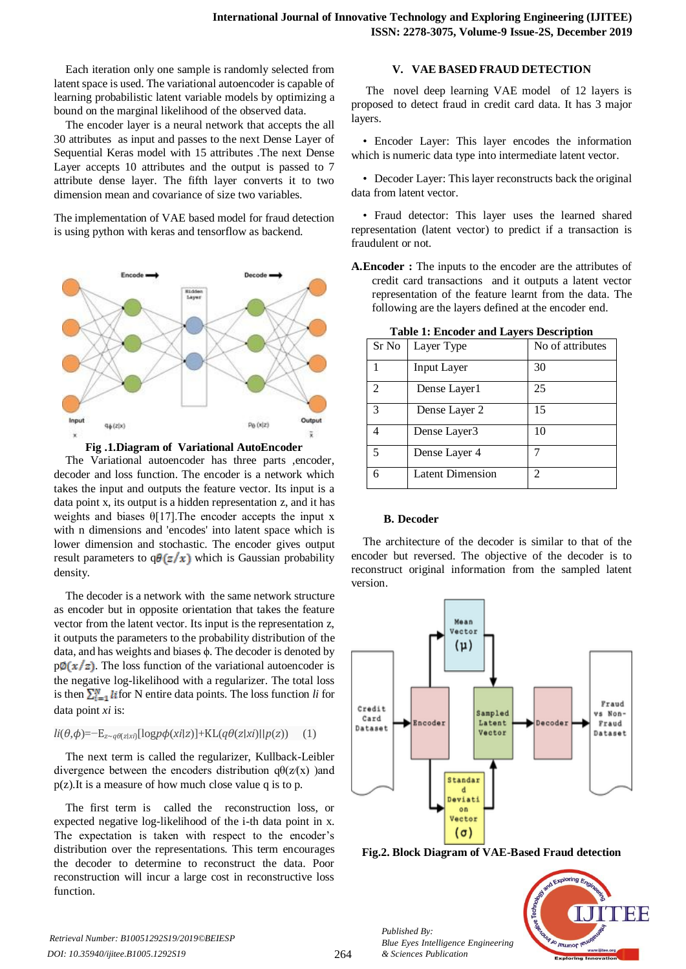Each iteration only one sample is randomly selected from latent space is used. The variational autoencoder is capable of learning probabilistic latent variable models by optimizing a bound on the marginal likelihood of the observed data.

The encoder layer is a neural network that accepts the all 30 attributes as input and passes to the next Dense Layer of Sequential Keras model with 15 attributes .The next Dense Layer accepts 10 attributes and the output is passed to 7 attribute dense layer. The fifth layer converts it to two dimension mean and covariance of size two variables.

The implementation of VAE based model for fraud detection is using python with keras and tensorflow as backend.



**Fig .1.Diagram of Variational AutoEncoder**

The Variational autoencoder has three parts ,encoder, decoder and loss function. The encoder is a network which takes the input and outputs the feature vector. Its input is a data point x, its output is a hidden representation z, and it has weights and biases  $\theta$ [17]. The encoder accepts the input x with n dimensions and 'encodes' into latent space which is lower dimension and stochastic. The encoder gives output result parameters to  $q\theta(z/x)$  which is Gaussian probability density.

The decoder is a network with the same network structure as encoder but in opposite orientation that takes the feature vector from the latent vector. Its input is the representation z, it outputs the parameters to the probability distribution of the data, and has weights and biases ϕ. The decoder is denoted by  $p\phi(x/z)$ . The loss function of the variational autoencoder is the negative log-likelihood with a regularizer. The total loss is then  $\sum_{i=1}^{N}$  *li* for N entire data points. The loss function *li* for data point *xi* is:

## *li*(*θ*,*ϕ*)=−E*<sup>z</sup>*∼*qθ*(*z*∣*xi*)[log*pϕ*(*xi*∣*z*)]+KL(*qθ*(*z*∣*xi*)∣∣*p*(*z*)) (1)

The next term is called the regularizer, Kullback-Leibler divergence between the encoders distribution  $q\theta(z/(x))$  and p(z).It is a measure of how much close value q is to p.

The first term is called the reconstruction loss, or expected negative log-likelihood of the i-th data point in x. The expectation is taken with respect to the encoder's distribution over the representations. This term encourages the decoder to determine to reconstruct the data. Poor reconstruction will incur a large cost in reconstructive loss function.

## **V. VAE BASED FRAUD DETECTION**

The novel deep learning VAE model of 12 layers is proposed to detect fraud in credit card data. It has 3 major layers.

• Encoder Layer: This layer encodes the information which is numeric data type into intermediate latent vector.

• Decoder Layer: This layer reconstructs back the original data from latent vector.

• Fraud detector: This layer uses the learned shared representation (latent vector) to predict if a transaction is fraudulent or not.

**A.Encoder :** The inputs to the encoder are the attributes of credit card transactions and it outputs a latent vector representation of the feature learnt from the data. The following are the layers defined at the encoder end.

| Sr No | Layer Type              | No of attributes |
|-------|-------------------------|------------------|
|       | <b>Input Layer</b>      | 30               |
| 2     | Dense Layer1            | 25               |
| 3     | Dense Layer 2           | 15               |
|       | Dense Layer3            | 10               |
| 5     | Dense Layer 4           |                  |
| 6     | <b>Latent Dimension</b> |                  |

**Table 1: Encoder and Layers Description**

## **B. Decoder**

The architecture of the decoder is similar to that of the encoder but reversed. The objective of the decoder is to reconstruct original information from the sampled latent version.



**Fig.2. Block Diagram of VAE-Based Fraud detection**



*Published By:*

*& Sciences Publication* 

*Blue Eyes Intelligence Engineering*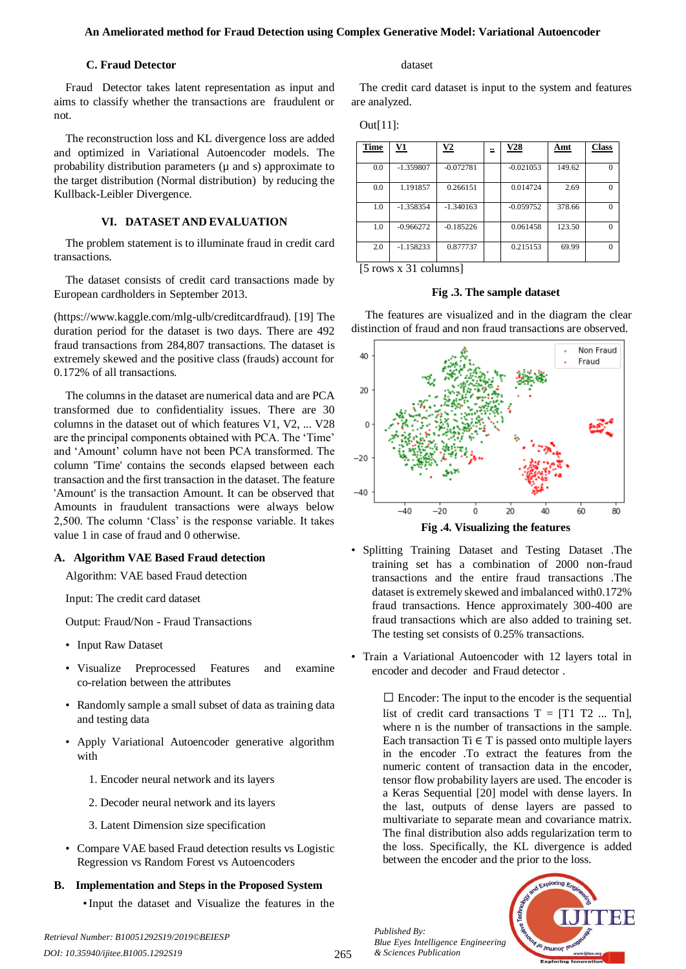## **An Ameliorated method for Fraud Detection using Complex Generative Model: Variational Autoencoder**

## **C. Fraud Detector**

Fraud Detector takes latent representation as input and aims to classify whether the transactions are fraudulent or not.

The reconstruction loss and KL divergence loss are added and optimized in Variational Autoencoder models. The probability distribution parameters ( $\mu$  and s) approximate to the target distribution (Normal distribution) by reducing the Kullback-Leibler Divergence.

# **VI. DATASET AND EVALUATION**

The problem statement is to illuminate fraud in credit card transactions.

The dataset consists of credit card transactions made by European cardholders in September 2013.

(https://www.kaggle.com/mlg-ulb/creditcardfraud). [19] The duration period for the dataset is two days. There are 492 fraud transactions from 284,807 transactions. The dataset is extremely skewed and the positive class (frauds) account for 0.172% of all transactions.

The columns in the dataset are numerical data and are PCA transformed due to confidentiality issues. There are 30 columns in the dataset out of which features V1, V2, ... V28 are the principal components obtained with PCA. The 'Time' and 'Amount' column have not been PCA transformed. The column 'Time' contains the seconds elapsed between each transaction and the first transaction in the dataset. The feature 'Amount' is the transaction Amount. It can be observed that Amounts in fraudulent transactions were always below 2,500. The column 'Class' is the response variable. It takes value 1 in case of fraud and 0 otherwise.

# **A. Algorithm VAE Based Fraud detection**

Algorithm: VAE based Fraud detection

Input: The credit card dataset

Output: Fraud/Non - Fraud Transactions

- Input Raw Dataset
- Visualize Preprocessed Features and examine co-relation between the attributes
- Randomly sample a small subset of data as training data and testing data
- Apply Variational Autoencoder generative algorithm with
	- 1. Encoder neural network and its layers
	- 2. Decoder neural network and its layers
	- 3. Latent Dimension size specification
- Compare VAE based Fraud detection results vs Logistic Regression vs Random Forest vs Autoencoders

# **B. Implementation and Steps in the Proposed System**

•Input the dataset and Visualize the features in the

*Retrieval Number: B10051292S19/2019©BEIESP*

#### dataset

The credit card dataset is input to the system and features are analyzed.

| utl |  |
|-----|--|
|     |  |
|     |  |

| <b>Time</b> | V1          | $\mathbf{V2}$ | ≝ | V28         | Amt    | <b>Class</b> |
|-------------|-------------|---------------|---|-------------|--------|--------------|
| 0.0         | $-1.359807$ | $-0.072781$   |   | $-0.021053$ | 149.62 | $\Omega$     |
| 0.0         | 1.191857    | 0.266151      |   | 0.014724    | 2.69   | $\Omega$     |
| 1.0         | $-1.358354$ | $-1.340163$   |   | $-0.059752$ | 378.66 | $\Omega$     |
| 1.0         | $-0.966272$ | $-0.185226$   |   | 0.061458    | 123.50 | $\Omega$     |
| 2.0         | $-1.158233$ | 0.877737      |   | 0.215153    | 69.99  | $\Omega$     |

[5 rows x 31 columns]

## **Fig .3. The sample dataset**

 The features are visualized and in the diagram the clear distinction of fraud and non fraud transactions are observed.



**Fig .4. Visualizing the features**

- Splitting Training Dataset and Testing Dataset .The training set has a combination of 2000 non-fraud transactions and the entire fraud transactions .The dataset is extremely skewed and imbalanced with0.172% fraud transactions. Hence approximately 300-400 are fraud transactions which are also added to training set. The testing set consists of 0.25% transactions.
- Train a Variational Autoencoder with 12 layers total in encoder and decoder and Fraud detector .

 $\square$  Encoder: The input to the encoder is the sequential list of credit card transactions  $T = [T1 T2 ... Tn]$ , where n is the number of transactions in the sample. Each transaction Ti  $\in$  T is passed onto multiple layers in the encoder .To extract the features from the numeric content of transaction data in the encoder, tensor flow probability layers are used. The encoder is a Keras Sequential [20] model with dense layers. In the last, outputs of dense layers are passed to multivariate to separate mean and covariance matrix. The final distribution also adds regularization term to the loss. Specifically, the KL divergence is added between the encoder and the prior to the loss.

*Published By: Blue Eyes Intelligence Engineering & Sciences Publication* 

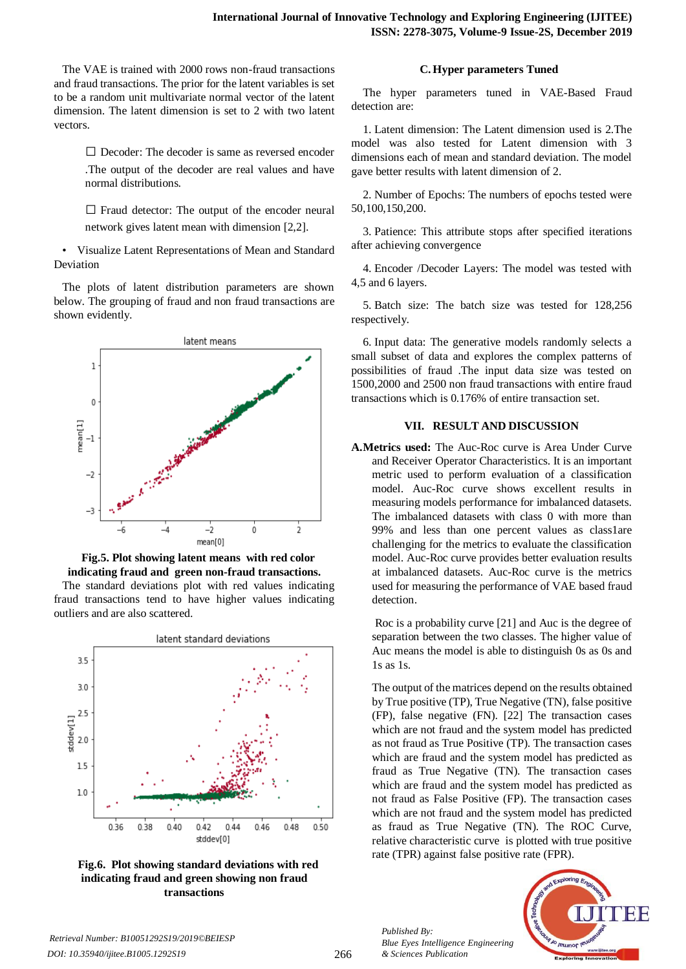The VAE is trained with 2000 rows non-fraud transactions and fraud transactions. The prior for the latent variables is set to be a random unit multivariate normal vector of the latent dimension. The latent dimension is set to 2 with two latent vectors.

> $\square$  Decoder: The decoder is same as reversed encoder .The output of the decoder are real values and have normal distributions.

> $\Box$  Fraud detector: The output of the encoder neural network gives latent mean with dimension [2,2].

• Visualize Latent Representations of Mean and Standard Deviation

The plots of latent distribution parameters are shown below. The grouping of fraud and non fraud transactions are shown evidently.





outliers and are also scattered.



**Fig.6. Plot showing standard deviations with red indicating fraud and green showing non fraud transactions**

## **C. Hyper parameters Tuned**

The hyper parameters tuned in VAE-Based Fraud detection are:

1. Latent dimension: The Latent dimension used is 2.The model was also tested for Latent dimension with 3 dimensions each of mean and standard deviation. The model gave better results with latent dimension of 2.

2. Number of Epochs: The numbers of epochs tested were 50,100,150,200.

3. Patience: This attribute stops after specified iterations after achieving convergence

4. Encoder /Decoder Layers: The model was tested with 4,5 and 6 layers.

5. Batch size: The batch size was tested for 128,256 respectively.

6. Input data: The generative models randomly selects a small subset of data and explores the complex patterns of possibilities of fraud .The input data size was tested on 1500,2000 and 2500 non fraud transactions with entire fraud transactions which is 0.176% of entire transaction set.

## **VII. RESULT AND DISCUSSION**

**A.Metrics used:** The Auc-Roc curve is Area Under Curve and Receiver Operator Characteristics. It is an important metric used to perform evaluation of a classification model. Auc-Roc curve shows excellent results in measuring models performance for imbalanced datasets. The imbalanced datasets with class 0 with more than 99% and less than one percent values as class1are challenging for the metrics to evaluate the classification model. Auc-Roc curve provides better evaluation results at imbalanced datasets. Auc-Roc curve is the metrics used for measuring the performance of VAE based fraud detection.

Roc is a probability curve [21] and Auc is the degree of separation between the two classes. The higher value of Auc means the model is able to distinguish 0s as 0s and 1s as 1s.

The output of the matrices depend on the results obtained by True positive (TP), True Negative (TN), false positive (FP), false negative (FN). [22] The transaction cases which are not fraud and the system model has predicted as not fraud as True Positive (TP). The transaction cases which are fraud and the system model has predicted as fraud as True Negative (TN). The transaction cases which are fraud and the system model has predicted as not fraud as False Positive (FP). The transaction cases which are not fraud and the system model has predicted as fraud as True Negative (TN). The ROC Curve, relative characteristic curve is plotted with true positive rate (TPR) against false positive rate (FPR).



*Retrieval Number: B10051292S19/2019©BEIESP DOI: 10.35940/ijitee.B1005.1292S19*

*Published By:*

*& Sciences Publication* 

*Blue Eyes Intelligence Engineering*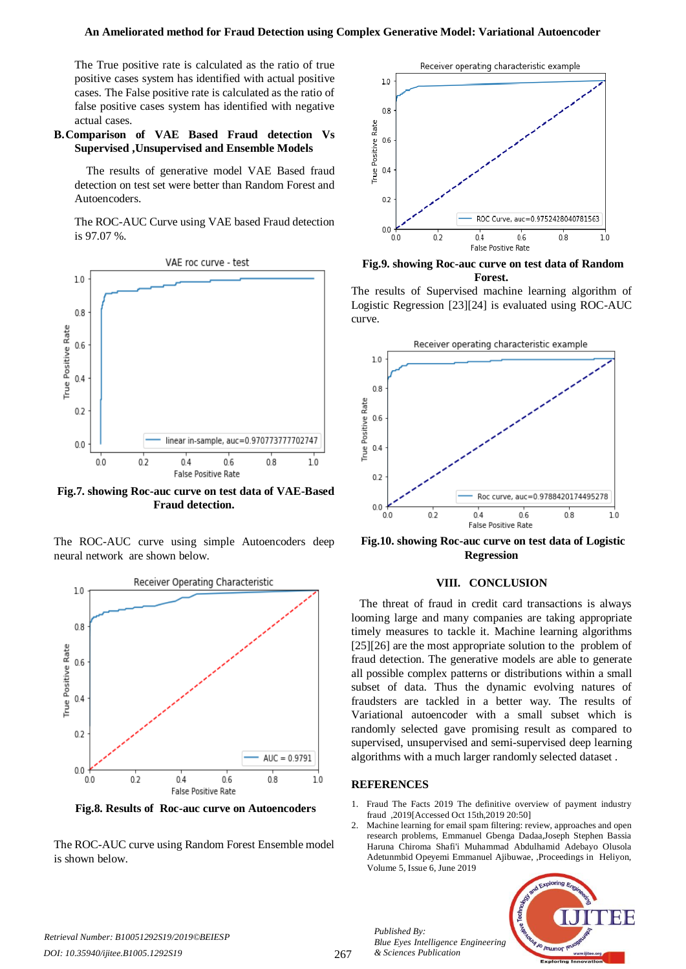The True positive rate is calculated as the ratio of true positive cases system has identified with actual positive cases. The False positive rate is calculated as the ratio of false positive cases system has identified with negative actual cases.

## **B.Comparison of VAE Based Fraud detection Vs Supervised ,Unsupervised and Ensemble Models**

The results of generative model VAE Based fraud detection on test set were better than Random Forest and Autoencoders.

The ROC-AUC Curve using VAE based Fraud detection is 97.07 %.



**Fig.7. showing Roc-auc curve on test data of VAE-Based Fraud detection.**

The ROC-AUC curve using simple Autoencoders deep neural network are shown below.



**Fig.8. Results of Roc-auc curve on Autoencoders**

The ROC-AUC curve using Random Forest Ensemble model is shown below.



**Fig.9. showing Roc-auc curve on test data of Random Forest.**

The results of Supervised machine learning algorithm of Logistic Regression [23][24] is evaluated using ROC-AUC curve.



**Fig.10. showing Roc-auc curve on test data of Logistic Regression** 

## **VIII. CONCLUSION**

The threat of fraud in credit card transactions is always looming large and many companies are taking appropriate timely measures to tackle it. Machine learning algorithms [25][26] are the most appropriate solution to the problem of fraud detection. The generative models are able to generate all possible complex patterns or distributions within a small subset of data. Thus the dynamic evolving natures of fraudsters are tackled in a better way. The results of Variational autoencoder with a small subset which is randomly selected gave promising result as compared to supervised, unsupervised and semi-supervised deep learning algorithms with a much larger randomly selected dataset .

## **REFERENCES**

*Published By:*

*& Sciences Publication* 

*Blue Eyes Intelligence Engineering* 

- 1. Fraud The Facts 2019 The definitive overview of payment industry fraud ,2019[Accessed Oct 15th,2019 20:50]
- 2. Machine learning for email spam filtering: review, approaches and open research problems, Emmanuel Gbenga Dadaa,Joseph Stephen Bassia Haruna Chiroma Shafi'i Muhammad Abdulhamid Adebayo Olusola Adetunmbid Opeyemi Emmanuel Ajibuwae, ,Proceedings in Heliyon, Volume 5, Issue 6, June 2019



*DOI: 10.35940/ijitee.B1005.1292S19*